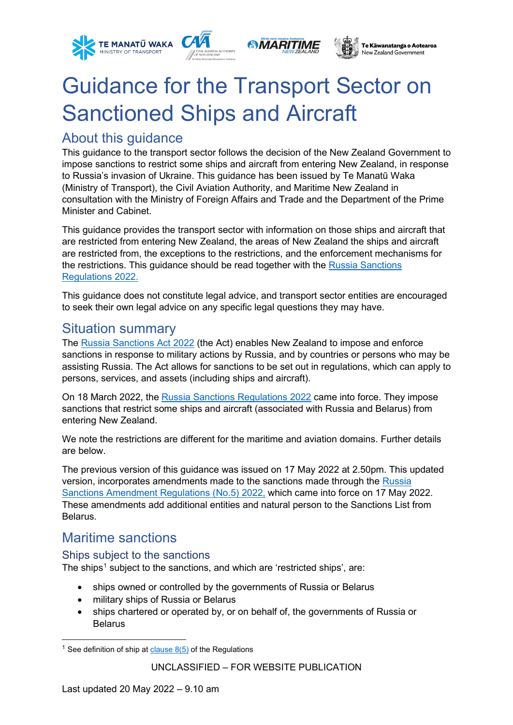





# Guidance for the Transport Sector on Sanctioned Ships and Aircraft

# About this guidance

This guidance to the transport sector follows the decision of the New Zealand Government to impose sanctions to restrict some ships and aircraft from entering New Zealand, in response to Russia's invasion of Ukraine. This guidance has been issued by Te Manatū Waka (Ministry of Transport), the Civil Aviation Authority, and Maritime New Zealand in consultation with the Ministry of Foreign Affairs and Trade and the Department of the Prime Minister and Cabinet.

This guidance provides the transport sector with information on those ships and aircraft that are restricted from entering New Zealand, the areas of New Zealand the ships and aircraft are restricted from, the exceptions to the restrictions, and the enforcement mechanisms for the restrictions. This guidance should be read together with the [Russia Sanctions](https://www.legislation.govt.nz/regulation/public/2022/0074/latest/LMS659581.html?src=qs)  [Regulations 2022.](https://www.legislation.govt.nz/regulation/public/2022/0074/latest/LMS659581.html?src=qs)

This guidance does not constitute legal advice, and transport sector entities are encouraged to seek their own legal advice on any specific legal questions they may have.

# Situation summary

The [Russia Sanctions Act 2022](https://www.legislation.govt.nz/act/public/2022/0006/latest/LMS652885.html?src=qs) (the Act) enables New Zealand to impose and enforce sanctions in response to military actions by Russia, and by countries or persons who may be assisting Russia. The Act allows for sanctions to be set out in regulations, which can apply to persons, services, and assets (including ships and aircraft).

On 18 March 2022, the [Russia Sanctions Regulations 2022](https://www.legislation.govt.nz/regulation/public/2022/0074/latest/LMS659581.html?src=qs) came into force. They impose sanctions that restrict some ships and aircraft (associated with Russia and Belarus) from entering New Zealand.

We note the restrictions are different for the maritime and aviation domains. Further details are below.

The previous version of this guidance was issued on 17 May 2022 at 2.50pm. This updated version, incorporates amendments made to the sanctions made through the [Russia](https://www.legislation.govt.nz/regulation/public/2022/0137/latest/whole.html)  [Sanctions Amendment Regulations \(No.5\) 2022,](https://www.legislation.govt.nz/regulation/public/2022/0137/latest/whole.html) which came into force on 17 May 2022. These amendments add additional entities and natural person to the Sanctions List from Belarus.

# Maritime sanctions

## Ships subject to the sanctions

The ships<sup>[1](#page-0-0)</sup> subject to the sanctions, and which are 'restricted ships', are:

- ships owned or controlled by the governments of Russia or Belarus
- military ships of Russia or Belarus
- ships chartered or operated by, or on behalf of, the governments of Russia or Belarus

<span id="page-0-0"></span><sup>&</sup>lt;sup>1</sup> See definition of ship at clause  $8(5)$  of the Regulations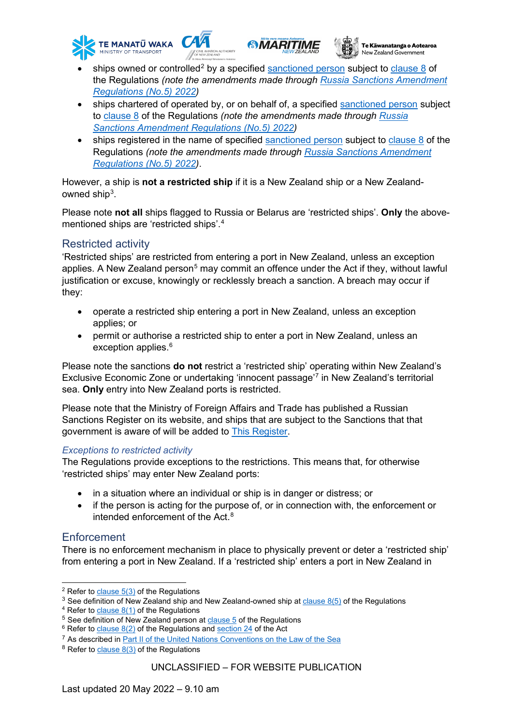







- ships owned or controlled<sup>[2](#page-1-0)</sup> by a specified [sanctioned person](https://www.legislation.govt.nz/regulation/public/2022/0074/latest/LMS659655.html) subject to clause  $8$  of the Regulations *(note the amendments made through [Russia Sanctions Amendment](https://www.legislation.govt.nz/regulation/public/2022/0137/latest/whole.html)  [Regulations \(No.5\) 2022\)](https://www.legislation.govt.nz/regulation/public/2022/0137/latest/whole.html)*
- ships chartered of operated by, or on behalf of, a specified [sanctioned person](https://www.legislation.govt.nz/regulation/public/2022/0074/latest/LMS659655.html) subject to [clause 8](https://www.legislation.govt.nz/regulation/public/2022/0074/latest/LMS659634.html) of the Regulations *(note the amendments made through [Russia](https://www.legislation.govt.nz/regulation/public/2022/0137/latest/whole.html)  [Sanctions Amendment Regulations \(No.5\) 2022\)](https://www.legislation.govt.nz/regulation/public/2022/0137/latest/whole.html)*
- ships registered in the name of specified [sanctioned person](https://www.legislation.govt.nz/regulation/public/2022/0074/latest/LMS659655.html) subject to [clause 8](https://www.legislation.govt.nz/regulation/public/2022/0074/latest/LMS659634.html) of the Regulations *(note the amendments made through [Russia Sanctions Amendment](https://www.legislation.govt.nz/regulation/public/2022/0137/latest/whole.html)  [Regulations \(No.5\) 2022\)](https://www.legislation.govt.nz/regulation/public/2022/0137/latest/whole.html)*.

However, a ship is **not a restricted ship** if it is a New Zealand ship or a New Zealand-owned ship<sup>[3](#page-1-1)</sup>.

Please note **not all** ships flagged to Russia or Belarus are 'restricted ships'. **Only** the abovementioned ships are 'restricted ships'.[4](#page-1-2)

## Restricted activity

'Restricted ships' are restricted from entering a port in New Zealand, unless an exception applies. A New Zealand person<sup>[5](#page-1-3)</sup> may commit an offence under the Act if they, without lawful justification or excuse, knowingly or recklessly breach a sanction. A breach may occur if they:

- operate a restricted ship entering a port in New Zealand, unless an exception applies; or
- permit or authorise a restricted ship to enter a port in New Zealand, unless an exception applies.<sup>[6](#page-1-4)</sup>

Please note the sanctions **do not** restrict a 'restricted ship' operating within New Zealand's Exclusive Economic Zone or undertaking 'innocent passage'[7](#page-1-5) in New Zealand's territorial sea. **Only** entry into New Zealand ports is restricted.

Please note that the Ministry of Foreign Affairs and Trade has published a Russian Sanctions Register on its website, and ships that are subject to the Sanctions that that government is aware of will be added to [This Register.](https://www.mfat.govt.nz/en/countries-and-regions/europe/ukraine/russian-invasion-of-ukraine/sanctions/)

#### *Exceptions to restricted activity*

The Regulations provide exceptions to the restrictions. This means that, for otherwise 'restricted ships' may enter New Zealand ports:

- in a situation where an individual or ship is in danger or distress; or
- if the person is acting for the purpose of, or in connection with, the enforcement or intended enforcement of the Act.<sup>[8](#page-1-6)</sup>

## **Enforcement**

There is no enforcement mechanism in place to physically prevent or deter a 'restricted ship' from entering a port in New Zealand. If a 'restricted ship' enters a port in New Zealand in

<span id="page-1-0"></span> $2$  Refer to clause  $5(3)$  of the Regulations

<span id="page-1-1"></span> $3$  See definition of New Zealand ship and New Zealand-owned ship at clause  $8(5)$  of the Regulations

<span id="page-1-2"></span> $4$  Refer to clause  $8(1)$  of the Regulations

<span id="page-1-3"></span><sup>&</sup>lt;sup>5</sup> See definition of New Zealand person at [clause 5](https://www.legislation.govt.nz/regulation/public/2022/0074/latest/LMS659627.html) of the Regulations

<span id="page-1-4"></span> $6$  Refer to clause  $8(2)$  of the Regulations and [section 24](https://www.legislation.govt.nz/act/public/2022/0006/latest/LMS652963.html) of the Act

<span id="page-1-5"></span><sup>7</sup> As described i[n Part II of the United Nations Conventions on the Law of the Sea](https://www.un.org/depts/los/convention_agreements/texts/unclos/part2.htm)

<span id="page-1-6"></span> $8$  Refer to clause  $8(3)$  of the Regulations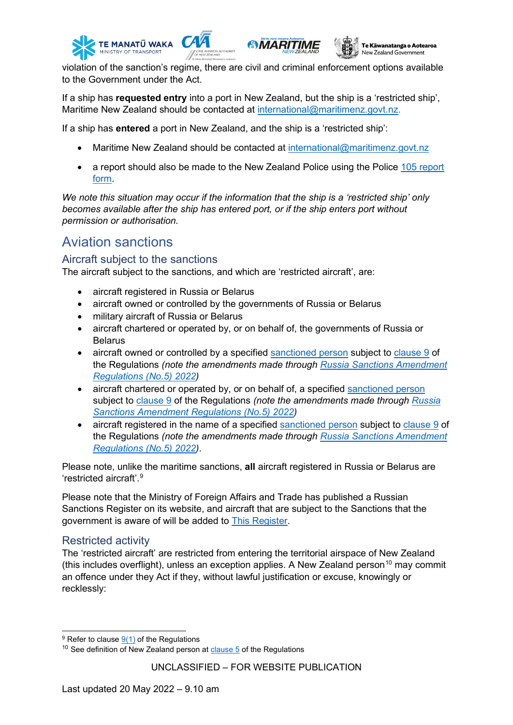



violation of the sanction's regime, there are civil and criminal enforcement options available to the Government under the Act.

If a ship has **requested entry** into a port in New Zealand, but the ship is a 'restricted ship', Maritime New Zealand should be contacted at [international@maritimenz.govt.nz.](mailto:international@maritimenz.govt.nz)

If a ship has **entered** a port in New Zealand, and the ship is a 'restricted ship':

- Maritime New Zealand should be contacted at [international@maritimenz.govt.nz](mailto:international@maritimenz.govt.nz)
- a report should also be made to the New Zealand Police using the Police 105 report [form.](https://apc01.safelinks.protection.outlook.com/?url=https%3A%2F%2Fwww.police.govt.nz%2Fuse-105&data=04%7C01%7CN.Paterson%40transport.govt.nz%7Cc34e8ec2672e4632955908da0856e36c%7Cff09ef007cd0407ebe0ef00bc475a9ab%7C0%7C0%7C637831466543541453%7CUnknown%7CTWFpbGZsb3d8eyJWIjoiMC4wLjAwMDAiLCJQIjoiV2luMzIiLCJBTiI6Ik1haWwiLCJXVCI6Mn0%3D%7C3000&sdata=Dn%2FxjSF4YlXjqh6N27pPNvjMotrEiy3KqAQWnGixRh4%3D&reserved=0)

*We note this situation may occur if the information that the ship is a 'restricted ship' only becomes available after the ship has entered port, or if the ship enters port without permission or authorisation.*

# Aviation sanctions

## Aircraft subject to the sanctions

The aircraft subject to the sanctions, and which are 'restricted aircraft', are:

- aircraft registered in Russia or Belarus
- aircraft owned or controlled by the governments of Russia or Belarus
- military aircraft of Russia or Belarus
- aircraft chartered or operated by, or on behalf of, the governments of Russia or **Belarus**
- aircraft owned or controlled by a specified [sanctioned person](https://www.legislation.govt.nz/regulation/public/2022/0074/latest/LMS659655.html) subject to [clause 9](https://www.legislation.govt.nz/regulation/public/2022/0074/latest/LMS659636.html) of the Regulations *(note the amendments made through [Russia Sanctions Amendment](https://www.legislation.govt.nz/regulation/public/2022/0137/latest/whole.html)  [Regulations \(No.5\) 2022\)](https://www.legislation.govt.nz/regulation/public/2022/0137/latest/whole.html)*
- aircraft chartered or operated by, or on behalf of, a specified [sanctioned person](https://www.legislation.govt.nz/regulation/public/2022/0074/latest/LMS659655.html) subject to [clause 9](https://www.legislation.govt.nz/regulation/public/2022/0074/latest/LMS659636.html) of the Regulations *(note the amendments made through [Russia](https://www.legislation.govt.nz/regulation/public/2022/0137/latest/whole.html)  [Sanctions Amendment Regulations \(No.5\) 2022\)](https://www.legislation.govt.nz/regulation/public/2022/0137/latest/whole.html)*
- aircraft registered in the name of a specified [sanctioned person](https://www.legislation.govt.nz/regulation/public/2022/0074/latest/LMS659655.html) subject to [clause 9](https://www.legislation.govt.nz/regulation/public/2022/0074/latest/LMS659636.html) of the Regulations *(note the amendments made through [Russia Sanctions Amendment](https://www.legislation.govt.nz/regulation/public/2022/0137/latest/whole.html)  [Regulations \(No.5\) 2022\)](https://www.legislation.govt.nz/regulation/public/2022/0137/latest/whole.html)*.

Please note, unlike the maritime sanctions, **all** aircraft registered in Russia or Belarus are 'restricted aircraft'.[9](#page-2-0)

Please note that the Ministry of Foreign Affairs and Trade has published a Russian Sanctions Register on its website, and aircraft that are subject to the Sanctions that the government is aware of will be added to [This Register.](https://www.mfat.govt.nz/en/countries-and-regions/europe/ukraine/russian-invasion-of-ukraine/sanctions/)

#### Restricted activity

The 'restricted aircraft' are restricted from entering the territorial airspace of New Zealand (this includes overflight), unless an exception applies. A New Zealand person<sup>[10](#page-2-1)</sup> may commit an offence under they Act if they, without lawful justification or excuse, knowingly or recklessly:

<span id="page-2-0"></span> $9$  Refer to clause  $9(1)$  of the Regulations

<span id="page-2-1"></span> $10$  See definition of New Zealand person at  $clause 5$  of the Regulations